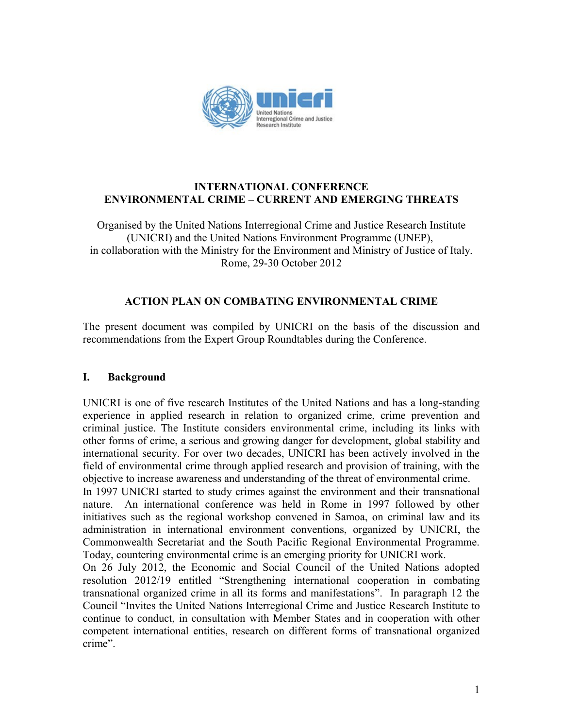

### **INTERNATIONAL CONFERENCE ENVIRONMENTAL CRIME – CURRENT AND EMERGING THREATS**

Organised by the United Nations Interregional Crime and Justice Research Institute (UNICRI) and the United Nations Environment Programme (UNEP), in collaboration with the Ministry for the Environment and Ministry of Justice of Italy. Rome, 29-30 October 2012

# **ACTION PLAN ON COMBATING ENVIRONMENTAL CRIME**

The present document was compiled by UNICRI on the basis of the discussion and recommendations from the Expert Group Roundtables during the Conference.

# **I. Background**

UNICRI is one of five research Institutes of the United Nations and has a long-standing experience in applied research in relation to organized crime, crime prevention and criminal justice. The Institute considers environmental crime, including its links with other forms of crime, a serious and growing danger for development, global stability and international security. For over two decades, UNICRI has been actively involved in the field of environmental crime through applied research and provision of training, with the objective to increase awareness and understanding of the threat of environmental crime.

In 1997 UNICRI started to study crimes against the environment and their transnational nature. An international conference was held in Rome in 1997 followed by other initiatives such as the regional workshop convened in Samoa, on criminal law and its administration in international environment conventions, organized by UNICRI, the Commonwealth Secretariat and the South Pacific Regional Environmental Programme. Today, countering environmental crime is an emerging priority for UNICRI work.

On 26 July 2012, the Economic and Social Council of the United Nations adopted resolution 2012/19 entitled "Strengthening international cooperation in combating transnational organized crime in all its forms and manifestations". In paragraph 12 the Council "Invites the United Nations Interregional Crime and Justice Research Institute to continue to conduct, in consultation with Member States and in cooperation with other competent international entities, research on different forms of transnational organized crime".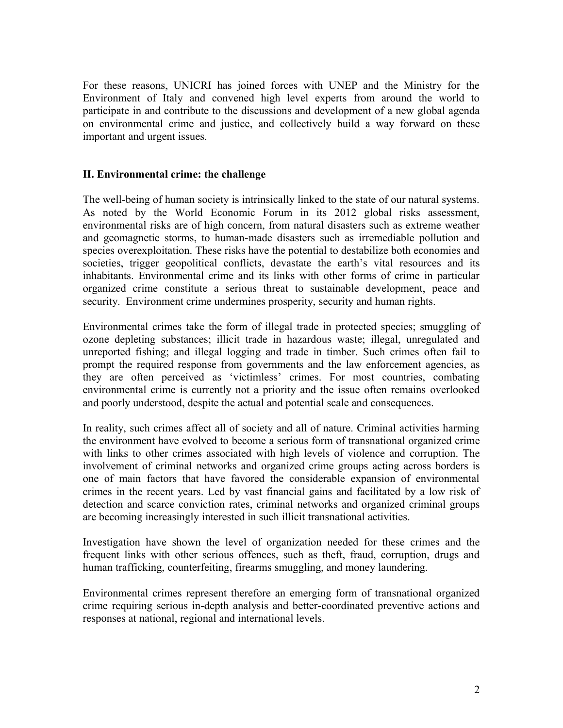For these reasons, UNICRI has joined forces with UNEP and the Ministry for the Environment of Italy and convened high level experts from around the world to participate in and contribute to the discussions and development of a new global agenda on environmental crime and justice, and collectively build a way forward on these important and urgent issues.

#### **II. Environmental crime: the challenge**

The well-being of human society is intrinsically linked to the state of our natural systems. As noted by the World Economic Forum in its 2012 global risks assessment, environmental risks are of high concern, from natural disasters such as extreme weather and geomagnetic storms, to human-made disasters such as irremediable pollution and species overexploitation. These risks have the potential to destabilize both economies and societies, trigger geopolitical conflicts, devastate the earth's vital resources and its inhabitants. Environmental crime and its links with other forms of crime in particular organized crime constitute a serious threat to sustainable development, peace and security. Environment crime undermines prosperity, security and human rights.

Environmental crimes take the form of illegal trade in protected species; smuggling of ozone depleting substances; illicit trade in hazardous waste; illegal, unregulated and unreported fishing; and illegal logging and trade in timber. Such crimes often fail to prompt the required response from governments and the law enforcement agencies, as they are often perceived as 'victimless' crimes. For most countries, combating environmental crime is currently not a priority and the issue often remains overlooked and poorly understood, despite the actual and potential scale and consequences.

In reality, such crimes affect all of society and all of nature. Criminal activities harming the environment have evolved to become a serious form of transnational organized crime with links to other crimes associated with high levels of violence and corruption. The involvement of criminal networks and organized crime groups acting across borders is one of main factors that have favored the considerable expansion of environmental crimes in the recent years. Led by vast financial gains and facilitated by a low risk of detection and scarce conviction rates, criminal networks and organized criminal groups are becoming increasingly interested in such illicit transnational activities.

Investigation have shown the level of organization needed for these crimes and the frequent links with other serious offences, such as theft, fraud, corruption, drugs and human trafficking, counterfeiting, firearms smuggling, and money laundering.

Environmental crimes represent therefore an emerging form of transnational organized crime requiring serious in-depth analysis and better-coordinated preventive actions and responses at national, regional and international levels.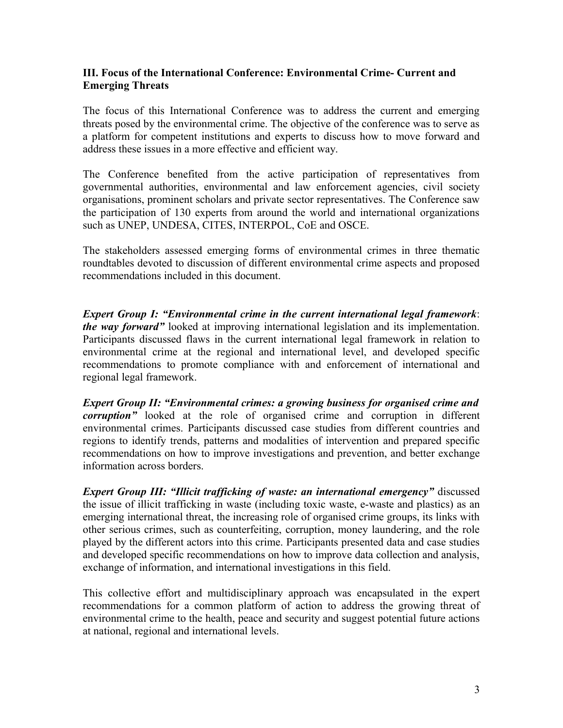### **III. Focus of the International Conference: Environmental Crime- Current and Emerging Threats**

The focus of this International Conference was to address the current and emerging threats posed by the environmental crime. The objective of the conference was to serve as a platform for competent institutions and experts to discuss how to move forward and address these issues in a more effective and efficient way.

The Conference benefited from the active participation of representatives from governmental authorities, environmental and law enforcement agencies, civil society organisations, prominent scholars and private sector representatives. The Conference saw the participation of 130 experts from around the world and international organizations such as UNEP, UNDESA, CITES, INTERPOL, CoE and OSCE.

The stakeholders assessed emerging forms of environmental crimes in three thematic roundtables devoted to discussion of different environmental crime aspects and proposed recommendations included in this document.

*Expert Group I: "Environmental crime in the current international legal framework*: *the way forward"* looked at improving international legislation and its implementation. Participants discussed flaws in the current international legal framework in relation to environmental crime at the regional and international level, and developed specific recommendations to promote compliance with and enforcement of international and regional legal framework.

*Expert Group II: "Environmental crimes: a growing business for organised crime and corruption"* looked at the role of organised crime and corruption in different environmental crimes. Participants discussed case studies from different countries and regions to identify trends, patterns and modalities of intervention and prepared specific recommendations on how to improve investigations and prevention, and better exchange information across borders.

*Expert Group III: "Illicit trafficking of waste: an international emergency"* discussed the issue of illicit trafficking in waste (including toxic waste, e-waste and plastics) as an emerging international threat, the increasing role of organised crime groups, its links with other serious crimes, such as counterfeiting, corruption, money laundering, and the role played by the different actors into this crime. Participants presented data and case studies and developed specific recommendations on how to improve data collection and analysis, exchange of information, and international investigations in this field.

This collective effort and multidisciplinary approach was encapsulated in the expert recommendations for a common platform of action to address the growing threat of environmental crime to the health, peace and security and suggest potential future actions at national, regional and international levels.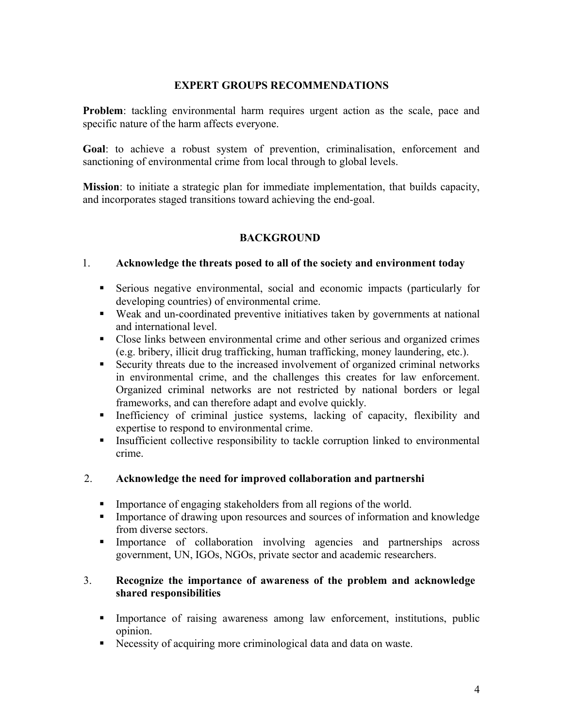# **EXPERT GROUPS RECOMMENDATIONS**

**Problem**: tackling environmental harm requires urgent action as the scale, pace and specific nature of the harm affects everyone.

**Goal**: to achieve a robust system of prevention, criminalisation, enforcement and sanctioning of environmental crime from local through to global levels.

**Mission**: to initiate a strategic plan for immediate implementation, that builds capacity, and incorporates staged transitions toward achieving the end-goal.

# **BACKGROUND**

#### 1. **Acknowledge the threats posed to all of the society and environment today**

- Serious negative environmental, social and economic impacts (particularly for developing countries) of environmental crime.
- Weak and un-coordinated preventive initiatives taken by governments at national and international level.
- Close links between environmental crime and other serious and organized crimes (e.g. bribery, illicit drug trafficking, human trafficking, money laundering, etc.).
- Security threats due to the increased involvement of organized criminal networks in environmental crime, and the challenges this creates for law enforcement. Organized criminal networks are not restricted by national borders or legal frameworks, and can therefore adapt and evolve quickly.
- Inefficiency of criminal justice systems, lacking of capacity, flexibility and expertise to respond to environmental crime.
- **Insufficient collective responsibility to tackle corruption linked to environmental** crime.

# 2. **Acknowledge the need for improved collaboration and partnershi**

- **Importance of engaging stakeholders from all regions of the world.**
- **IMPORTANCE OF THE UPON THE UPON THE UPON CONSERVANCE IN THE UPON THE UPON THE UPON CONSERVANCE IN THE UPON CONSERVANCE I** from diverse sectors.
- Importance of collaboration involving agencies and partnerships across government, UN, IGOs, NGOs, private sector and academic researchers.

#### 3. **Recognize the importance of awareness of the problem and acknowledge shared responsibilities**

- Importance of raising awareness among law enforcement, institutions, public opinion.
- Necessity of acquiring more criminological data and data on waste.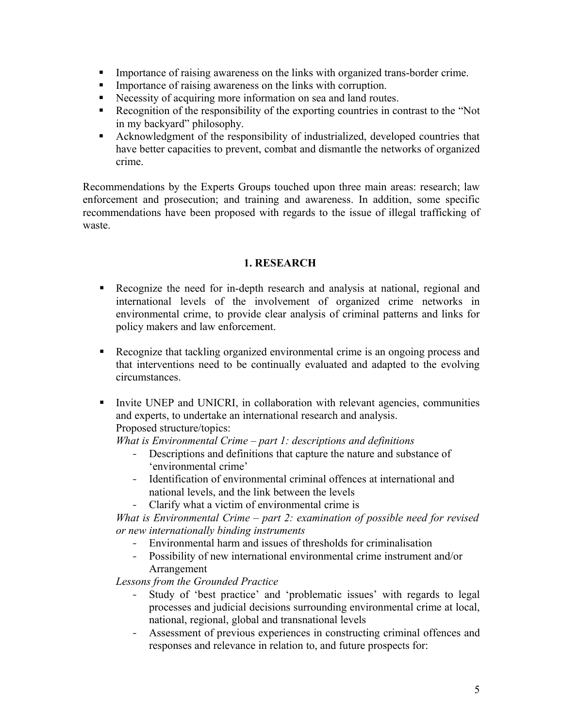- Importance of raising awareness on the links with organized trans-border crime.
- **Importance of raising awareness on the links with corruption.**
- Necessity of acquiring more information on sea and land routes.
- Recognition of the responsibility of the exporting countries in contrast to the "Not" in my backyard" philosophy.
- Acknowledgment of the responsibility of industrialized, developed countries that have better capacities to prevent, combat and dismantle the networks of organized crime.

Recommendations by the Experts Groups touched upon three main areas: research; law enforcement and prosecution; and training and awareness. In addition, some specific recommendations have been proposed with regards to the issue of illegal trafficking of waste.

#### **1. RESEARCH**

- Recognize the need for in-depth research and analysis at national, regional and international levels of the involvement of organized crime networks in environmental crime, to provide clear analysis of criminal patterns and links for policy makers and law enforcement.
- Recognize that tackling organized environmental crime is an ongoing process and that interventions need to be continually evaluated and adapted to the evolving circumstances.
- Invite UNEP and UNICRI, in collaboration with relevant agencies, communities and experts, to undertake an international research and analysis. Proposed structure/topics:

*What is Environmental Crime – part 1: descriptions and definitions*

- Descriptions and definitions that capture the nature and substance of 'environmental crime'
- Identification of environmental criminal offences at international and national levels, and the link between the levels
- Clarify what a victim of environmental crime is

*What is Environmental Crime – part 2: examination of possible need for revised or new internationally binding instruments*

- Environmental harm and issues of thresholds for criminalisation
- Possibility of new international environmental crime instrument and/or Arrangement

*Lessons from the Grounded Practice*

- Study of 'best practice' and 'problematic issues' with regards to legal processes and judicial decisions surrounding environmental crime at local, national, regional, global and transnational levels
- Assessment of previous experiences in constructing criminal offences and responses and relevance in relation to, and future prospects for: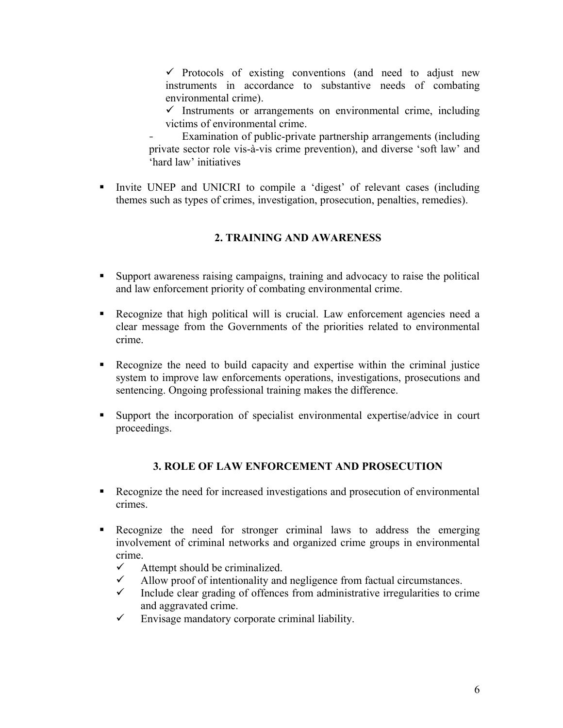$\checkmark$  Protocols of existing conventions (and need to adjust new instruments in accordance to substantive needs of combating environmental crime).

- $\checkmark$  Instruments or arrangements on environmental crime, including victims of environmental crime.
- Examination of public-private partnership arrangements (including private sector role vis-à-vis crime prevention), and diverse 'soft law' and 'hard law' initiatives
- Invite UNEP and UNICRI to compile a 'digest' of relevant cases (including themes such as types of crimes, investigation, prosecution, penalties, remedies).

# **2. TRAINING AND AWARENESS**

- Support awareness raising campaigns, training and advocacy to raise the political and law enforcement priority of combating environmental crime.
- Recognize that high political will is crucial. Law enforcement agencies need a clear message from the Governments of the priorities related to environmental crime.
- Recognize the need to build capacity and expertise within the criminal justice system to improve law enforcements operations, investigations, prosecutions and sentencing. Ongoing professional training makes the difference.
- Support the incorporation of specialist environmental expertise/advice in court proceedings.

# **3. ROLE OF LAW ENFORCEMENT AND PROSECUTION**

- Recognize the need for increased investigations and prosecution of environmental crimes.
- Recognize the need for stronger criminal laws to address the emerging involvement of criminal networks and organized crime groups in environmental crime.
	- $\checkmark$  Attempt should be criminalized.
	- $\checkmark$  Allow proof of intentionality and negligence from factual circumstances.
	- $\checkmark$  Include clear grading of offences from administrative irregularities to crime and aggravated crime.
	- $\checkmark$  Envisage mandatory corporate criminal liability.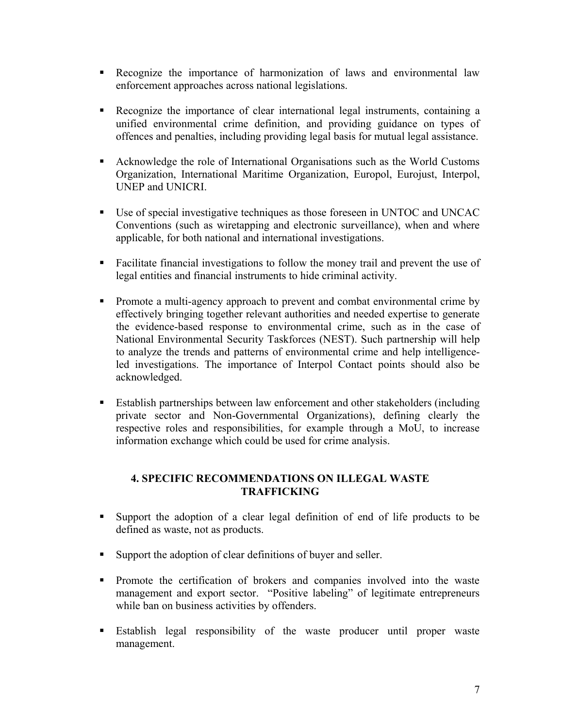- Recognize the importance of harmonization of laws and environmental law enforcement approaches across national legislations.
- Recognize the importance of clear international legal instruments, containing a unified environmental crime definition, and providing guidance on types of offences and penalties, including providing legal basis for mutual legal assistance.
- Acknowledge the role of International Organisations such as the World Customs Organization, International Maritime Organization, Europol, Eurojust, Interpol, UNEP and UNICRI.
- Use of special investigative techniques as those foreseen in UNTOC and UNCAC Conventions (such as wiretapping and electronic surveillance), when and where applicable, for both national and international investigations.
- Facilitate financial investigations to follow the money trail and prevent the use of legal entities and financial instruments to hide criminal activity.
- **Promote a multi-agency approach to prevent and combat environmental crime by** effectively bringing together relevant authorities and needed expertise to generate the evidence-based response to environmental crime, such as in the case of National Environmental Security Taskforces (NEST). Such partnership will help to analyze the trends and patterns of environmental crime and help intelligenceled investigations. The importance of Interpol Contact points should also be acknowledged.
- Establish partnerships between law enforcement and other stakeholders (including private sector and Non-Governmental Organizations), defining clearly the respective roles and responsibilities, for example through a MoU, to increase information exchange which could be used for crime analysis.

# **4. SPECIFIC RECOMMENDATIONS ON ILLEGAL WASTE TRAFFICKING**

- Support the adoption of a clear legal definition of end of life products to be defined as waste, not as products.
- Support the adoption of clear definitions of buyer and seller.
- **Promote the certification of brokers and companies involved into the waster** management and export sector. "Positive labeling" of legitimate entrepreneurs while ban on business activities by offenders.
- Establish legal responsibility of the waste producer until proper waste management.